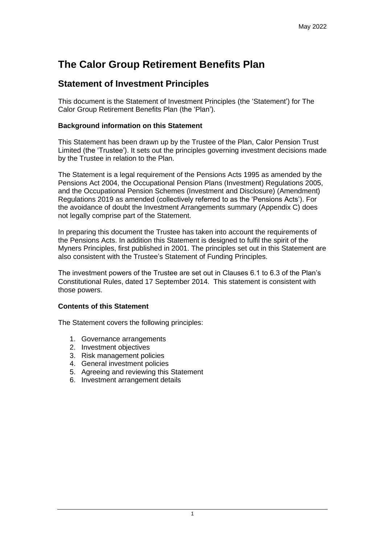# **The Calor Group Retirement Benefits Plan**

# **Statement of Investment Principles**

This document is the Statement of Investment Principles (the 'Statement') for The Calor Group Retirement Benefits Plan (the 'Plan').

### **Background information on this Statement**

This Statement has been drawn up by the Trustee of the Plan, Calor Pension Trust Limited (the 'Trustee'). It sets out the principles governing investment decisions made by the Trustee in relation to the Plan.

The Statement is a legal requirement of the Pensions Acts 1995 as amended by the Pensions Act 2004, the Occupational Pension Plans (Investment) Regulations 2005, and the Occupational Pension Schemes (Investment and Disclosure) (Amendment) Regulations 2019 as amended (collectively referred to as the 'Pensions Acts'). For the avoidance of doubt the Investment Arrangements summary (Appendix C) does not legally comprise part of the Statement.

In preparing this document the Trustee has taken into account the requirements of the Pensions Acts. In addition this Statement is designed to fulfil the spirit of the Myners Principles, first published in 2001. The principles set out in this Statement are also consistent with the Trustee's Statement of Funding Principles.

The investment powers of the Trustee are set out in Clauses 6.1 to 6.3 of the Plan's Constitutional Rules, dated 17 September 2014. This statement is consistent with those powers.

#### **Contents of this Statement**

The Statement covers the following principles:

- 1. Governance arrangements
- 2. Investment objectives
- 3. Risk management policies
- 4. General investment policies
- 5. Agreeing and reviewing this Statement
- 6. Investment arrangement details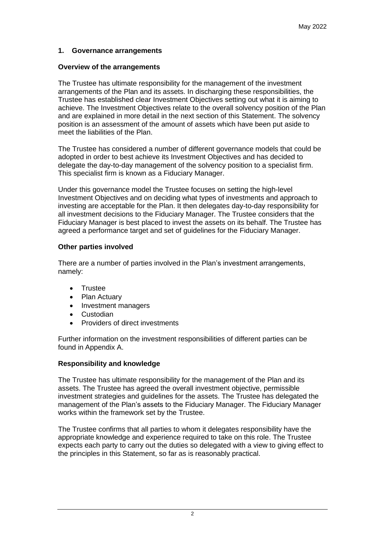#### **1. Governance arrangements**

#### **Overview of the arrangements**

The Trustee has ultimate responsibility for the management of the investment arrangements of the Plan and its assets. In discharging these responsibilities, the Trustee has established clear Investment Objectives setting out what it is aiming to achieve. The Investment Objectives relate to the overall solvency position of the Plan and are explained in more detail in the next section of this Statement. The solvency position is an assessment of the amount of assets which have been put aside to meet the liabilities of the Plan.

The Trustee has considered a number of different governance models that could be adopted in order to best achieve its Investment Objectives and has decided to delegate the day-to-day management of the solvency position to a specialist firm. This specialist firm is known as a Fiduciary Manager.

Under this governance model the Trustee focuses on setting the high-level Investment Objectives and on deciding what types of investments and approach to investing are acceptable for the Plan. It then delegates day-to-day responsibility for all investment decisions to the Fiduciary Manager. The Trustee considers that the Fiduciary Manager is best placed to invest the assets on its behalf. The Trustee has agreed a performance target and set of guidelines for the Fiduciary Manager.

#### **Other parties involved**

There are a number of parties involved in the Plan's investment arrangements, namely:

- Trustee
- Plan Actuary
- Investment managers
- Custodian
- Providers of direct investments

Further information on the investment responsibilities of different parties can be found in Appendix A.

#### **Responsibility and knowledge**

The Trustee has ultimate responsibility for the management of the Plan and its assets. The Trustee has agreed the overall investment objective, permissible investment strategies and guidelines for the assets. The Trustee has delegated the management of the Plan's assets to the Fiduciary Manager. The Fiduciary Manager works within the framework set by the Trustee.

The Trustee confirms that all parties to whom it delegates responsibility have the appropriate knowledge and experience required to take on this role. The Trustee expects each party to carry out the duties so delegated with a view to giving effect to the principles in this Statement, so far as is reasonably practical.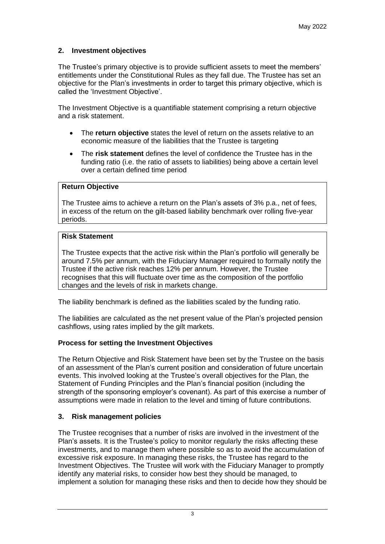# **2. Investment objectives**

The Trustee's primary objective is to provide sufficient assets to meet the members' entitlements under the Constitutional Rules as they fall due. The Trustee has set an objective for the Plan's investments in order to target this primary objective, which is called the 'Investment Objective'.

The Investment Objective is a quantifiable statement comprising a return objective and a risk statement.

- The **return objective** states the level of return on the assets relative to an economic measure of the liabilities that the Trustee is targeting
- The **risk statement** defines the level of confidence the Trustee has in the funding ratio (i.e. the ratio of assets to liabilities) being above a certain level over a certain defined time period

#### **Return Objective**

The Trustee aims to achieve a return on the Plan's assets of 3% p.a., net of fees, in excess of the return on the gilt-based liability benchmark over rolling five-year periods.

#### **Risk Statement**

The Trustee expects that the active risk within the Plan's portfolio will generally be around 7.5% per annum, with the Fiduciary Manager required to formally notify the Trustee if the active risk reaches 12% per annum. However, the Trustee recognises that this will fluctuate over time as the composition of the portfolio changes and the levels of risk in markets change.

The liability benchmark is defined as the liabilities scaled by the funding ratio.

The liabilities are calculated as the net present value of the Plan's projected pension cashflows, using rates implied by the gilt markets.

# **Process for setting the Investment Objectives**

The Return Objective and Risk Statement have been set by the Trustee on the basis of an assessment of the Plan's current position and consideration of future uncertain events. This involved looking at the Trustee's overall objectives for the Plan, the Statement of Funding Principles and the Plan's financial position (including the strength of the sponsoring employer's covenant). As part of this exercise a number of assumptions were made in relation to the level and timing of future contributions.

# **3. Risk management policies**

The Trustee recognises that a number of risks are involved in the investment of the Plan's assets. It is the Trustee's policy to monitor regularly the risks affecting these investments, and to manage them where possible so as to avoid the accumulation of excessive risk exposure. In managing these risks, the Trustee has regard to the Investment Objectives. The Trustee will work with the Fiduciary Manager to promptly identify any material risks, to consider how best they should be managed, to implement a solution for managing these risks and then to decide how they should be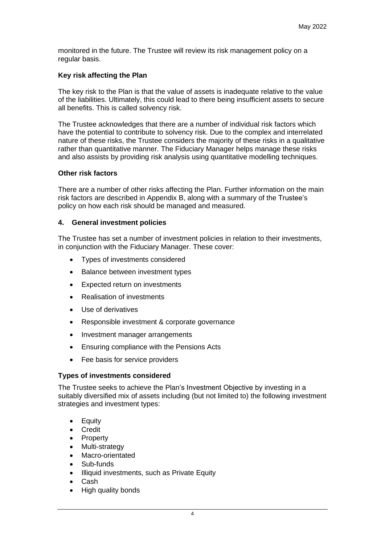monitored in the future. The Trustee will review its risk management policy on a regular basis.

#### **Key risk affecting the Plan**

The key risk to the Plan is that the value of assets is inadequate relative to the value of the liabilities. Ultimately, this could lead to there being insufficient assets to secure all benefits. This is called solvency risk.

The Trustee acknowledges that there are a number of individual risk factors which have the potential to contribute to solvency risk. Due to the complex and interrelated nature of these risks, the Trustee considers the majority of these risks in a qualitative rather than quantitative manner. The Fiduciary Manager helps manage these risks and also assists by providing risk analysis using quantitative modelling techniques.

#### **Other risk factors**

There are a number of other risks affecting the Plan. Further information on the main risk factors are described in Appendix B, along with a summary of the Trustee's policy on how each risk should be managed and measured.

#### **4. General investment policies**

The Trustee has set a number of investment policies in relation to their investments, in conjunction with the Fiduciary Manager. These cover:

- Types of investments considered
- Balance between investment types
- Expected return on investments
- Realisation of investments
- Use of derivatives
- Responsible investment & corporate governance
- Investment manager arrangements
- Ensuring compliance with the Pensions Acts
- Fee basis for service providers

#### **Types of investments considered**

The Trustee seeks to achieve the Plan's Investment Objective by investing in a suitably diversified mix of assets including (but not limited to) the following investment strategies and investment types:

- Equity
- **Credit**
- **Property**
- Multi-strategy
- Macro-orientated
- Sub-funds
- Illiquid investments, such as Private Equity
- Cash
- High quality bonds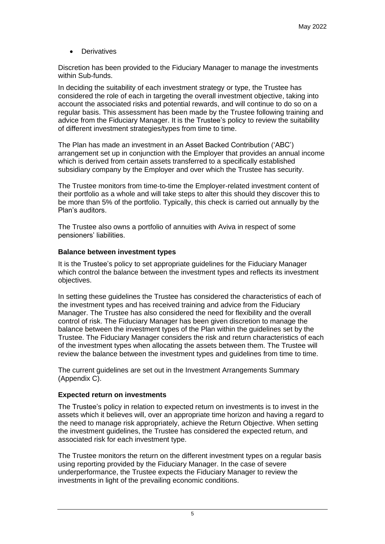**Derivatives** 

Discretion has been provided to the Fiduciary Manager to manage the investments within Sub-funds.

In deciding the suitability of each investment strategy or type, the Trustee has considered the role of each in targeting the overall investment objective, taking into account the associated risks and potential rewards, and will continue to do so on a regular basis. This assessment has been made by the Trustee following training and advice from the Fiduciary Manager. It is the Trustee's policy to review the suitability of different investment strategies/types from time to time.

The Plan has made an investment in an Asset Backed Contribution ('ABC') arrangement set up in conjunction with the Employer that provides an annual income which is derived from certain assets transferred to a specifically established subsidiary company by the Employer and over which the Trustee has security.

The Trustee monitors from time-to-time the Employer-related investment content of their portfolio as a whole and will take steps to alter this should they discover this to be more than 5% of the portfolio. Typically, this check is carried out annually by the Plan's auditors.

The Trustee also owns a portfolio of annuities with Aviva in respect of some pensioners' liabilities.

# **Balance between investment types**

It is the Trustee's policy to set appropriate guidelines for the Fiduciary Manager which control the balance between the investment types and reflects its investment objectives.

In setting these guidelines the Trustee has considered the characteristics of each of the investment types and has received training and advice from the Fiduciary Manager. The Trustee has also considered the need for flexibility and the overall control of risk. The Fiduciary Manager has been given discretion to manage the balance between the investment types of the Plan within the guidelines set by the Trustee. The Fiduciary Manager considers the risk and return characteristics of each of the investment types when allocating the assets between them. The Trustee will review the balance between the investment types and guidelines from time to time.

The current guidelines are set out in the Investment Arrangements Summary (Appendix C).

# **Expected return on investments**

The Trustee's policy in relation to expected return on investments is to invest in the assets which it believes will, over an appropriate time horizon and having a regard to the need to manage risk appropriately, achieve the Return Objective. When setting the investment guidelines, the Trustee has considered the expected return, and associated risk for each investment type.

The Trustee monitors the return on the different investment types on a regular basis using reporting provided by the Fiduciary Manager. In the case of severe underperformance, the Trustee expects the Fiduciary Manager to review the investments in light of the prevailing economic conditions.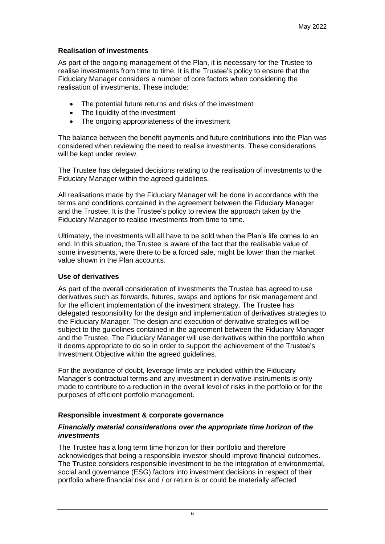#### **Realisation of investments**

As part of the ongoing management of the Plan, it is necessary for the Trustee to realise investments from time to time. It is the Trustee's policy to ensure that the Fiduciary Manager considers a number of core factors when considering the realisation of investments. These include:

- The potential future returns and risks of the investment
- The liquidity of the investment
- The ongoing appropriateness of the investment

The balance between the benefit payments and future contributions into the Plan was considered when reviewing the need to realise investments. These considerations will be kept under review.

The Trustee has delegated decisions relating to the realisation of investments to the Fiduciary Manager within the agreed guidelines.

All realisations made by the Fiduciary Manager will be done in accordance with the terms and conditions contained in the agreement between the Fiduciary Manager and the Trustee. It is the Trustee's policy to review the approach taken by the Fiduciary Manager to realise investments from time to time.

Ultimately, the investments will all have to be sold when the Plan's life comes to an end. In this situation, the Trustee is aware of the fact that the realisable value of some investments, were there to be a forced sale, might be lower than the market value shown in the Plan accounts.

#### **Use of derivatives**

As part of the overall consideration of investments the Trustee has agreed to use derivatives such as forwards, futures, swaps and options for risk management and for the efficient implementation of the investment strategy. The Trustee has delegated responsibility for the design and implementation of derivatives strategies to the Fiduciary Manager. The design and execution of derivative strategies will be subject to the guidelines contained in the agreement between the Fiduciary Manager and the Trustee. The Fiduciary Manager will use derivatives within the portfolio when it deems appropriate to do so in order to support the achievement of the Trustee's Investment Objective within the agreed guidelines.

For the avoidance of doubt, leverage limits are included within the Fiduciary Manager's contractual terms and any investment in derivative instruments is only made to contribute to a reduction in the overall level of risks in the portfolio or for the purposes of efficient portfolio management.

#### **Responsible investment & corporate governance**

#### *Financially material considerations over the appropriate time horizon of the investments*

The Trustee has a long term time horizon for their portfolio and therefore acknowledges that being a responsible investor should improve financial outcomes. The Trustee considers responsible investment to be the integration of environmental, social and governance (ESG) factors into investment decisions in respect of their portfolio where financial risk and / or return is or could be materially affected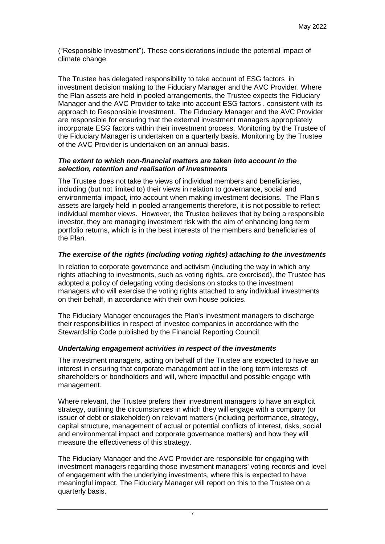("Responsible Investment"). These considerations include the potential impact of climate change.

The Trustee has delegated responsibility to take account of ESG factors in investment decision making to the Fiduciary Manager and the AVC Provider. Where the Plan assets are held in pooled arrangements, the Trustee expects the Fiduciary Manager and the AVC Provider to take into account ESG factors , consistent with its approach to Responsible Investment. The Fiduciary Manager and the AVC Provider are responsible for ensuring that the external investment managers appropriately incorporate ESG factors within their investment process. Monitoring by the Trustee of the Fiduciary Manager is undertaken on a quarterly basis. Monitoring by the Trustee of the AVC Provider is undertaken on an annual basis.

#### *The extent to which non-financial matters are taken into account in the selection, retention and realisation of investments*

The Trustee does not take the views of individual members and beneficiaries, including (but not limited to) their views in relation to governance, social and environmental impact, into account when making investment decisions. The Plan's assets are largely held in pooled arrangements therefore, it is not possible to reflect individual member views. However, the Trustee believes that by being a responsible investor, they are managing investment risk with the aim of enhancing long term portfolio returns, which is in the best interests of the members and beneficiaries of the Plan.

#### *The exercise of the rights (including voting rights) attaching to the investments*

In relation to corporate governance and activism (including the way in which any rights attaching to investments, such as voting rights, are exercised), the Trustee has adopted a policy of delegating voting decisions on stocks to the investment managers who will exercise the voting rights attached to any individual investments on their behalf, in accordance with their own house policies.

The Fiduciary Manager encourages the Plan's investment managers to discharge their responsibilities in respect of investee companies in accordance with the Stewardship Code published by the Financial Reporting Council. 

# *Undertaking engagement activities in respect of the investments*

The investment managers, acting on behalf of the Trustee are expected to have an interest in ensuring that corporate management act in the long term interests of shareholders or bondholders and will, where impactful and possible engage with management.

Where relevant, the Trustee prefers their investment managers to have an explicit strategy, outlining the circumstances in which they will engage with a company (or issuer of debt or stakeholder) on relevant matters (including performance, strategy, capital structure, management of actual or potential conflicts of interest, risks, social and environmental impact and corporate governance matters) and how they will measure the effectiveness of this strategy.

The Fiduciary Manager and the AVC Provider are responsible for engaging with investment managers regarding those investment managers' voting records and level of engagement with the underlying investments, where this is expected to have meaningful impact. The Fiduciary Manager will report on this to the Trustee on a quarterly basis.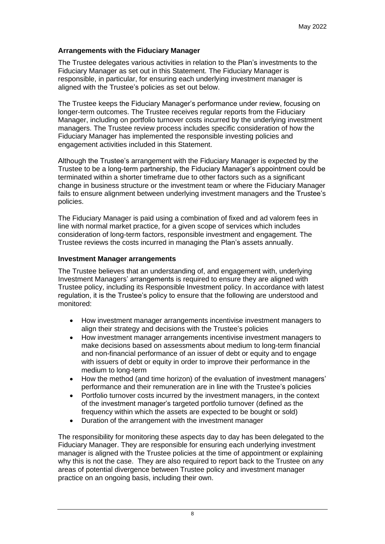#### **Arrangements with the Fiduciary Manager**

The Trustee delegates various activities in relation to the Plan's investments to the Fiduciary Manager as set out in this Statement. The Fiduciary Manager is responsible, in particular, for ensuring each underlying investment manager is aligned with the Trustee's policies as set out below.

The Trustee keeps the Fiduciary Manager's performance under review, focusing on longer-term outcomes. The Trustee receives regular reports from the Fiduciary Manager, including on portfolio turnover costs incurred by the underlying investment managers. The Trustee review process includes specific consideration of how the Fiduciary Manager has implemented the responsible investing policies and engagement activities included in this Statement.

Although the Trustee's arrangement with the Fiduciary Manager is expected by the Trustee to be a long-term partnership, the Fiduciary Manager's appointment could be terminated within a shorter timeframe due to other factors such as a significant change in business structure or the investment team or where the Fiduciary Manager fails to ensure alignment between underlying investment managers and the Trustee's policies.

The Fiduciary Manager is paid using a combination of fixed and ad valorem fees in line with normal market practice, for a given scope of services which includes consideration of long-term factors, responsible investment and engagement. The Trustee reviews the costs incurred in managing the Plan's assets annually.

#### **Investment Manager arrangements**

The Trustee believes that an understanding of, and engagement with, underlying Investment Managers' arrangements is required to ensure they are aligned with Trustee policy, including its Responsible Investment policy. In accordance with latest regulation, it is the Trustee's policy to ensure that the following are understood and monitored:

- How investment manager arrangements incentivise investment managers to align their strategy and decisions with the Trustee's policies
- How investment manager arrangements incentivise investment managers to make decisions based on assessments about medium to long-term financial and non-financial performance of an issuer of debt or equity and to engage with issuers of debt or equity in order to improve their performance in the medium to long-term
- How the method (and time horizon) of the evaluation of investment managers' performance and their remuneration are in line with the Trustee's policies
- Portfolio turnover costs incurred by the investment managers, in the context of the investment manager's targeted portfolio turnover (defined as the frequency within which the assets are expected to be bought or sold)
- Duration of the arrangement with the investment manager

The responsibility for monitoring these aspects day to day has been delegated to the Fiduciary Manager. They are responsible for ensuring each underlying investment manager is aligned with the Trustee policies at the time of appointment or explaining why this is not the case. They are also required to report back to the Trustee on any areas of potential divergence between Trustee policy and investment manager practice on an ongoing basis, including their own.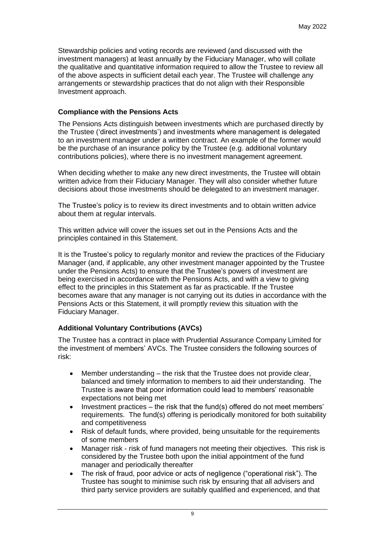Stewardship policies and voting records are reviewed (and discussed with the investment managers) at least annually by the Fiduciary Manager, who will collate the qualitative and quantitative information required to allow the Trustee to review all of the above aspects in sufficient detail each year. The Trustee will challenge any arrangements or stewardship practices that do not align with their Responsible Investment approach.

#### **Compliance with the Pensions Acts**

The Pensions Acts distinguish between investments which are purchased directly by the Trustee ('direct investments') and investments where management is delegated to an investment manager under a written contract. An example of the former would be the purchase of an insurance policy by the Trustee (e.g. additional voluntary contributions policies), where there is no investment management agreement.

When deciding whether to make any new direct investments, the Trustee will obtain written advice from their Fiduciary Manager. They will also consider whether future decisions about those investments should be delegated to an investment manager.

The Trustee's policy is to review its direct investments and to obtain written advice about them at regular intervals.

This written advice will cover the issues set out in the Pensions Acts and the principles contained in this Statement.

It is the Trustee's policy to regularly monitor and review the practices of the Fiduciary Manager (and, if applicable, any other investment manager appointed by the Trustee under the Pensions Acts) to ensure that the Trustee's powers of investment are being exercised in accordance with the Pensions Acts, and with a view to giving effect to the principles in this Statement as far as practicable. If the Trustee becomes aware that any manager is not carrying out its duties in accordance with the Pensions Acts or this Statement, it will promptly review this situation with the Fiduciary Manager.

# **Additional Voluntary Contributions (AVCs)**

The Trustee has a contract in place with Prudential Assurance Company Limited for the investment of members' AVCs. The Trustee considers the following sources of risk:

- Member understanding the risk that the Trustee does not provide clear, balanced and timely information to members to aid their understanding. The Trustee is aware that poor information could lead to members' reasonable expectations not being met
- Investment practices the risk that the fund(s) offered do not meet members' requirements. The fund(s) offering is periodically monitored for both suitability and competitiveness
- Risk of default funds, where provided, being unsuitable for the requirements of some members
- Manager risk risk of fund managers not meeting their objectives. This risk is considered by the Trustee both upon the initial appointment of the fund manager and periodically thereafter
- The risk of fraud, poor advice or acts of negligence ("operational risk"). The Trustee has sought to minimise such risk by ensuring that all advisers and third party service providers are suitably qualified and experienced, and that